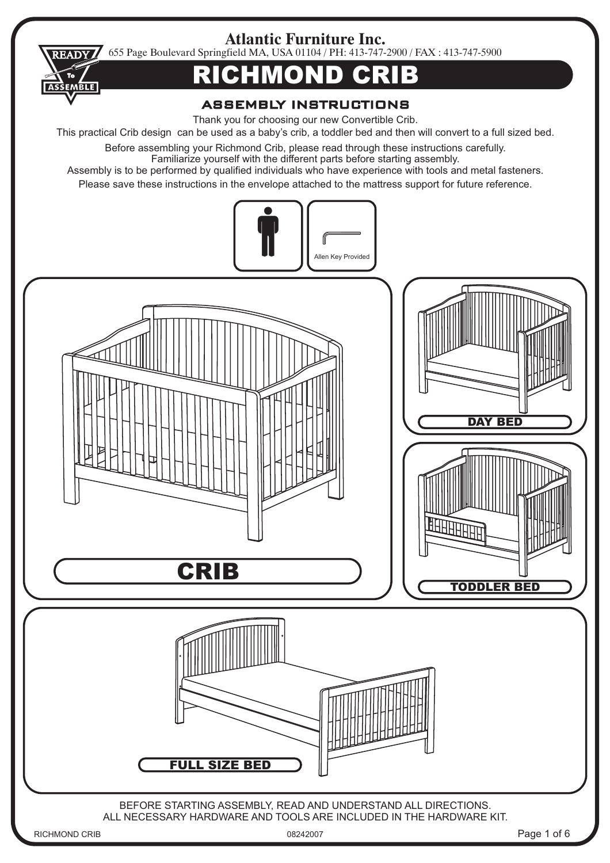**Atlantic Furniture Inc.**

655 Page Boulevard Springfield MA, USA 01104 / PH: 413-747-2900 / FAX : 413-747-5900 **READY** 

## RICHMOND CRIB

## **ASSEMBLY INSTRUCTIONS**

Thank you for choosing our new Convertible Crib.

This practical Crib design can be used as a baby's crib, a toddler bed and then will convert to a full sized bed.

Before assembling your Richmond Crib, please read through these instructions carefully. Familiarize yourself with the different parts before starting assembly.

Assembly is to be performed by qualified individuals who have experience with tools and metal fasteners.

Please save these instructions in the envelope attached to the mattress support for future reference.



**ASSEMBLE**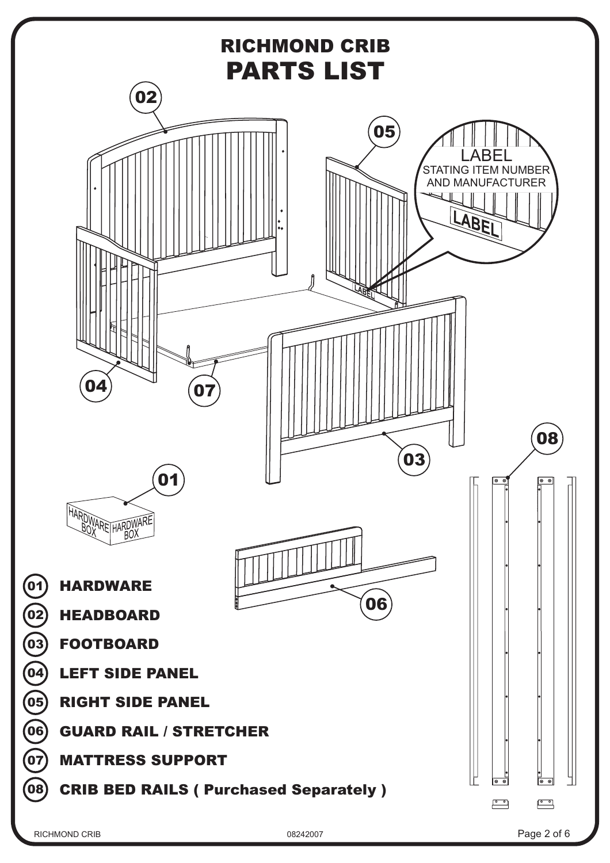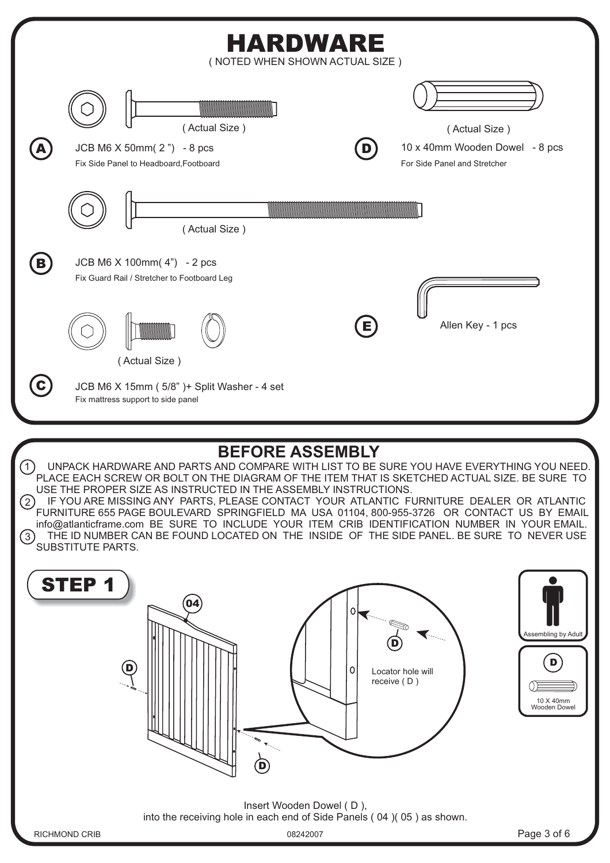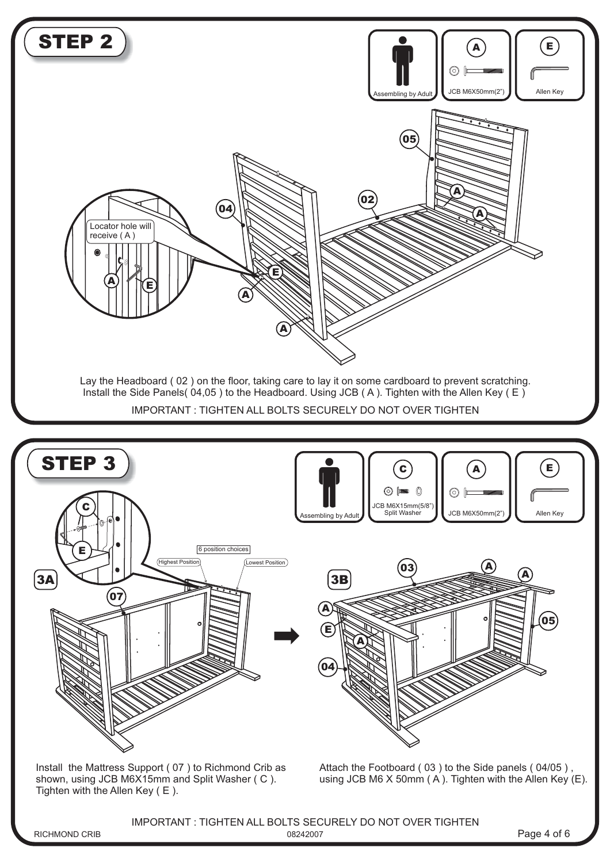

IMPORTANT : TIGHTEN ALL BOLTS SECURELY DO NOT OVER TIGHTEN

RICHMOND CRIB 08242007

Page 4 of 6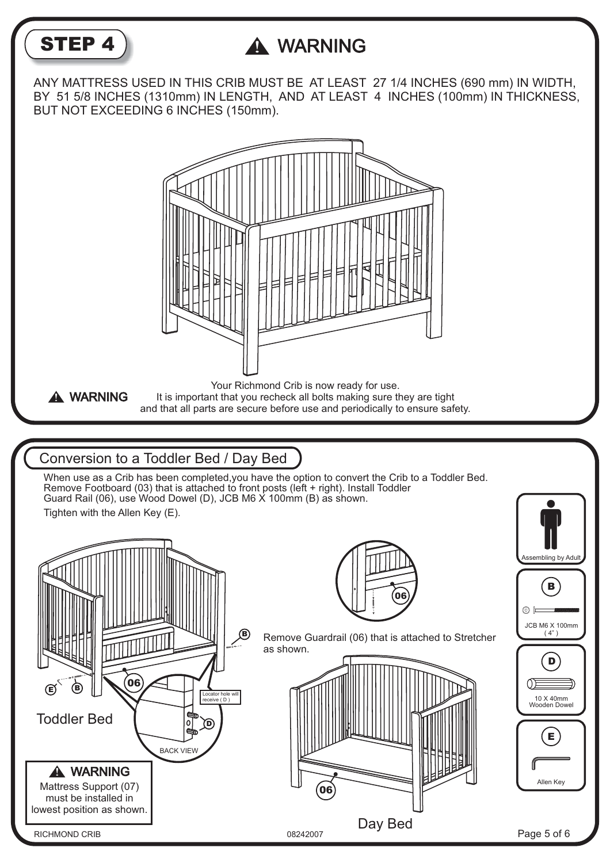